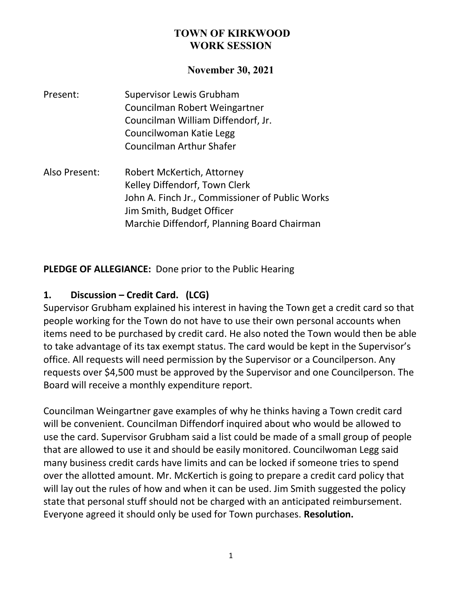#### **November 30, 2021**

- Present: Supervisor Lewis Grubham Councilman Robert Weingartner Councilman William Diffendorf, Jr. Councilwoman Katie Legg Councilman Arthur Shafer
- Also Present: Robert McKertich, Attorney Kelley Diffendorf, Town Clerk John A. Finch Jr., Commissioner of Public Works Jim Smith, Budget Officer Marchie Diffendorf, Planning Board Chairman

**PLEDGE OF ALLEGIANCE:** Done prior to the Public Hearing

#### **1. Discussion – Credit Card. (LCG)**

Supervisor Grubham explained his interest in having the Town get a credit card so that people working for the Town do not have to use their own personal accounts when items need to be purchased by credit card. He also noted the Town would then be able to take advantage of its tax exempt status. The card would be kept in the Supervisor's office. All requests will need permission by the Supervisor or a Councilperson. Any requests over \$4,500 must be approved by the Supervisor and one Councilperson. The Board will receive a monthly expenditure report.

Councilman Weingartner gave examples of why he thinks having a Town credit card will be convenient. Councilman Diffendorf inquired about who would be allowed to use the card. Supervisor Grubham said a list could be made of a small group of people that are allowed to use it and should be easily monitored. Councilwoman Legg said many business credit cards have limits and can be locked if someone tries to spend over the allotted amount. Mr. McKertich is going to prepare a credit card policy that will lay out the rules of how and when it can be used. Jim Smith suggested the policy state that personal stuff should not be charged with an anticipated reimbursement. Everyone agreed it should only be used for Town purchases. **Resolution.**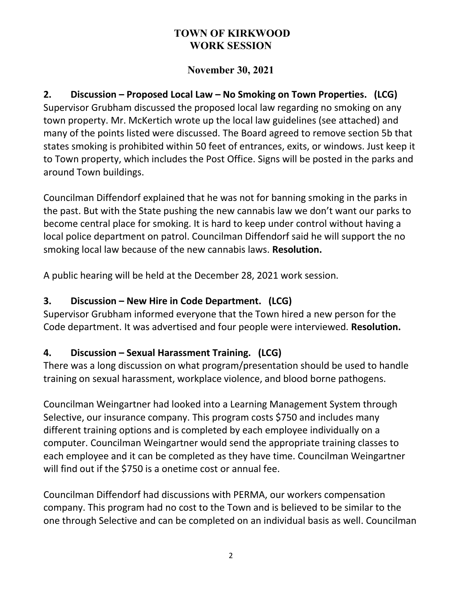# **November 30, 2021**

**2. Discussion – Proposed Local Law – No Smoking on Town Properties. (LCG)** Supervisor Grubham discussed the proposed local law regarding no smoking on any town property. Mr. McKertich wrote up the local law guidelines (see attached) and many of the points listed were discussed. The Board agreed to remove section 5b that states smoking is prohibited within 50 feet of entrances, exits, or windows. Just keep it to Town property, which includes the Post Office. Signs will be posted in the parks and around Town buildings.

Councilman Diffendorf explained that he was not for banning smoking in the parks in the past. But with the State pushing the new cannabis law we don't want our parks to become central place for smoking. It is hard to keep under control without having a local police department on patrol. Councilman Diffendorf said he will support the no smoking local law because of the new cannabis laws. **Resolution.**

A public hearing will be held at the December 28, 2021 work session.

# **3. Discussion – New Hire in Code Department. (LCG)**

Supervisor Grubham informed everyone that the Town hired a new person for the Code department. It was advertised and four people were interviewed. **Resolution.**

# **4. Discussion – Sexual Harassment Training. (LCG)**

There was a long discussion on what program/presentation should be used to handle training on sexual harassment, workplace violence, and blood borne pathogens.

Councilman Weingartner had looked into a Learning Management System through Selective, our insurance company. This program costs \$750 and includes many different training options and is completed by each employee individually on a computer. Councilman Weingartner would send the appropriate training classes to each employee and it can be completed as they have time. Councilman Weingartner will find out if the \$750 is a onetime cost or annual fee.

Councilman Diffendorf had discussions with PERMA, our workers compensation company. This program had no cost to the Town and is believed to be similar to the one through Selective and can be completed on an individual basis as well. Councilman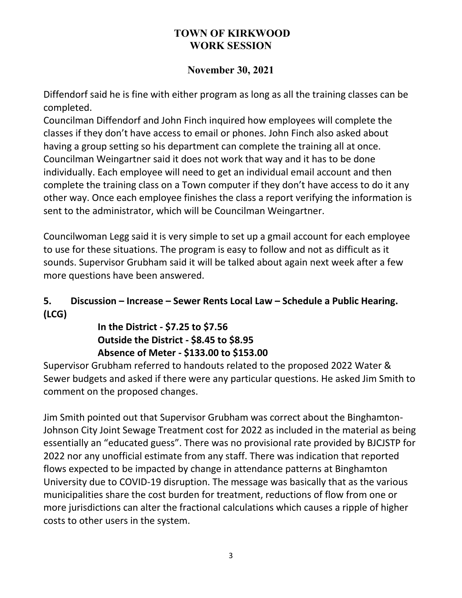# **November 30, 2021**

Diffendorf said he is fine with either program as long as all the training classes can be completed.

Councilman Diffendorf and John Finch inquired how employees will complete the classes if they don't have access to email or phones. John Finch also asked about having a group setting so his department can complete the training all at once. Councilman Weingartner said it does not work that way and it has to be done individually. Each employee will need to get an individual email account and then complete the training class on a Town computer if they don't have access to do it any other way. Once each employee finishes the class a report verifying the information is sent to the administrator, which will be Councilman Weingartner.

Councilwoman Legg said it is very simple to set up a gmail account for each employee to use for these situations. The program is easy to follow and not as difficult as it sounds. Supervisor Grubham said it will be talked about again next week after a few more questions have been answered.

# **5. Discussion – Increase – Sewer Rents Local Law – Schedule a Public Hearing. (LCG)**

# **In the District - \$7.25 to \$7.56 Outside the District - \$8.45 to \$8.95 Absence of Meter - \$133.00 to \$153.00**

Supervisor Grubham referred to handouts related to the proposed 2022 Water & Sewer budgets and asked if there were any particular questions. He asked Jim Smith to comment on the proposed changes.

Jim Smith pointed out that Supervisor Grubham was correct about the Binghamton-Johnson City Joint Sewage Treatment cost for 2022 as included in the material as being essentially an "educated guess". There was no provisional rate provided by BJCJSTP for 2022 nor any unofficial estimate from any staff. There was indication that reported flows expected to be impacted by change in attendance patterns at Binghamton University due to COVID-19 disruption. The message was basically that as the various municipalities share the cost burden for treatment, reductions of flow from one or more jurisdictions can alter the fractional calculations which causes a ripple of higher costs to other users in the system.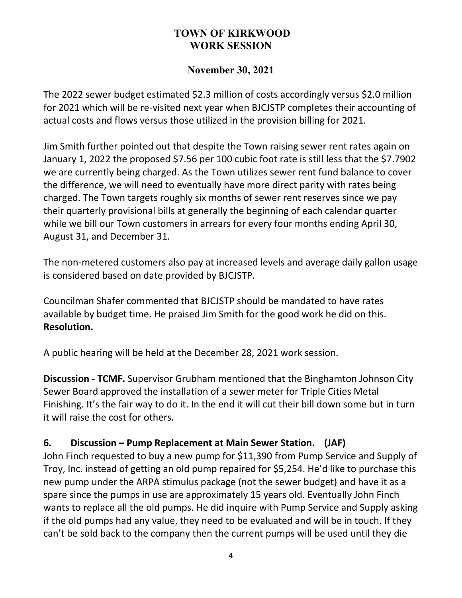### **November 30, 2021**

The 2022 sewer budget estimated \$2.3 million of costs accordingly versus \$2.0 million for 2021 which will be re-visited next year when BJCJSTP completes their accounting of actual costs and flows versus those utilized in the provision billing for 2021.

Jim Smith further pointed out that despite the Town raising sewer rent rates again on January 1, 2022 the proposed \$7.56 per 100 cubic foot rate is still less that the \$7.7902 we are currently being charged. As the Town utilizes sewer rent fund balance to cover the difference, we will need to eventually have more direct parity with rates being charged. The Town targets roughly six months of sewer rent reserves since we pay their quarterly provisional bills at generally the beginning of each calendar quarter while we bill our Town customers in arrears for every four months ending April 30, August 31, and December 31.

The non-metered customers also pay at increased levels and average daily gallon usage is considered based on date provided by BJCJSTP.

Councilman Shafer commented that BJCJSTP should be mandated to have rates available by budget time. He praised Jim Smith for the good work he did on this. **Resolution.**

A public hearing will be held at the December 28, 2021 work session.

**Discussion - TCMF.** Supervisor Grubham mentioned that the Binghamton Johnson City Sewer Board approved the installation of a sewer meter for Triple Cities Metal Finishing. It's the fair way to do it. In the end it will cut their bill down some but in turn it will raise the cost for others.

### **6. Discussion – Pump Replacement at Main Sewer Station. (JAF)**

John Finch requested to buy a new pump for \$11,390 from Pump Service and Supply of Troy, Inc. instead of getting an old pump repaired for \$5,254. He'd like to purchase this new pump under the ARPA stimulus package (not the sewer budget) and have it as a spare since the pumps in use are approximately 15 years old. Eventually John Finch wants to replace all the old pumps. He did inquire with Pump Service and Supply asking if the old pumps had any value, they need to be evaluated and will be in touch. If they can't be sold back to the company then the current pumps will be used until they die